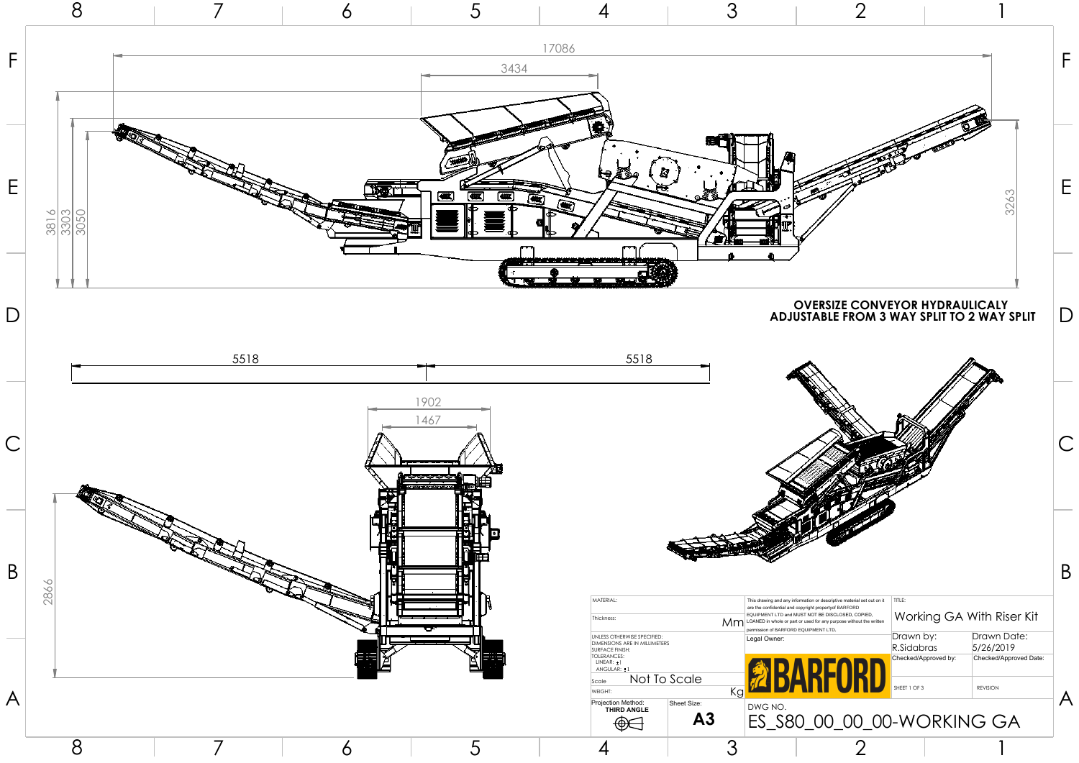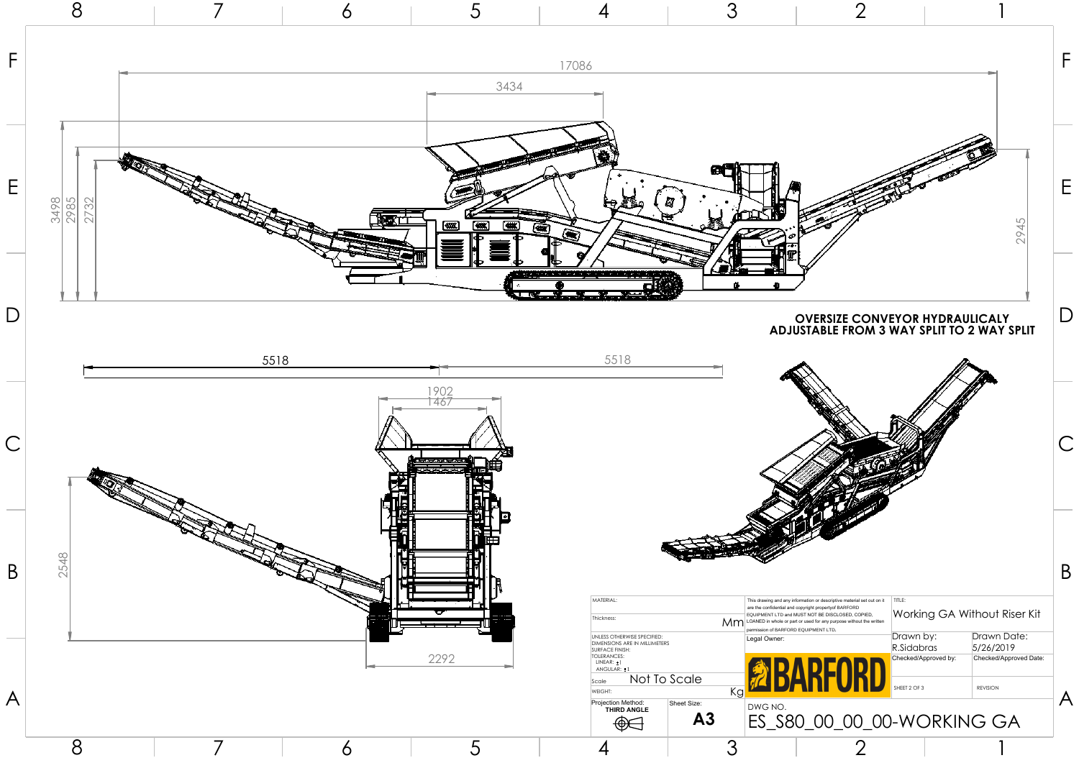